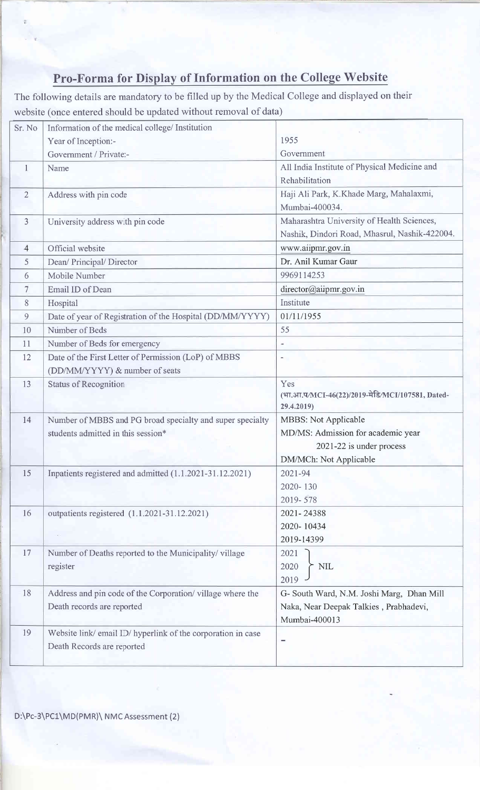## Pro-Forma for Display of Information on the College Website

The following details are mandatory to be filled up by the Medical College and displayed on their website (once entered should be updated without removal of data)

| Sr. No       | Information of the medical college/ Institution                                                 |                                                                   |  |  |
|--------------|-------------------------------------------------------------------------------------------------|-------------------------------------------------------------------|--|--|
|              | Year of Inception:-                                                                             | 1955                                                              |  |  |
|              | Government / Private:-                                                                          | Government                                                        |  |  |
| $\mathbf{1}$ | Name                                                                                            | All India Institute of Physical Medicine and                      |  |  |
|              |                                                                                                 | Rehabilitation                                                    |  |  |
| 2            | Address with pin code                                                                           | Haji Ali Park, K.Khade Marg, Mahalaxmi,                           |  |  |
|              |                                                                                                 | Mumbai-400034.                                                    |  |  |
| 3            | University address with pin code                                                                | Maharashtra University of Health Sciences,                        |  |  |
|              |                                                                                                 | Nashik, Dindori Road, Mhasrul, Nashik-422004.                     |  |  |
| 4            | Official website                                                                                | www.aiipmr.gov.in                                                 |  |  |
| 5            | Dean/ Principal/ Director                                                                       | Dr. Anil Kumar Gaur                                               |  |  |
| 6            | Mobile Number                                                                                   | 9969114253                                                        |  |  |
| 7            | Email ID of Dean                                                                                | director@aiipmr.gov.in                                            |  |  |
| 8            | Hospital                                                                                        | Institute                                                         |  |  |
| 9            | Date of year of Registration of the Hospital (DD/MM/YYYY)                                       | 01/11/1955                                                        |  |  |
| 10           | Number of Beds                                                                                  | 55                                                                |  |  |
| 11           | Number of Beds for emergency                                                                    | $\overline{\phantom{a}}$                                          |  |  |
| 12           | Date of the First Letter of Permission (LoP) of MBBS                                            |                                                                   |  |  |
|              | (DD/MM/YYYY) & number of seats                                                                  |                                                                   |  |  |
| 13           | <b>Status of Recognition</b>                                                                    | Yes                                                               |  |  |
|              |                                                                                                 | (भा.आ.प/MCI-46(22)/2019-मेडि/MCI/107581, Dated-                   |  |  |
|              |                                                                                                 | 29.4.2019)                                                        |  |  |
| 14           | Number of MBBS and PG broad specialty and super specialty<br>students admitted in this session* | <b>MBBS: Not Applicable</b><br>MD/MS: Admission for academic year |  |  |
|              |                                                                                                 | 2021-22 is under process                                          |  |  |
|              |                                                                                                 | DM/MCh: Not Applicable                                            |  |  |
| 15           | Inpatients registered and admitted (1.1.2021-31.12.2021)                                        | 2021-94                                                           |  |  |
|              |                                                                                                 | 2020-130                                                          |  |  |
|              |                                                                                                 | 2019-578                                                          |  |  |
| 16           | outpatients registered (1.1.2021-31.12.2021)                                                    | 2021-24388                                                        |  |  |
|              |                                                                                                 | 2020-10434                                                        |  |  |
|              |                                                                                                 | 2019-14399                                                        |  |  |
| 17           | Number of Deaths reported to the Municipality/village                                           | 2021                                                              |  |  |
|              | register                                                                                        | 2020<br><b>NIL</b>                                                |  |  |
|              |                                                                                                 | 2019                                                              |  |  |
| 18           | Address and pin code of the Corporation/village where the                                       | G- South Ward, N.M. Joshi Marg, Dhan Mill                         |  |  |
|              | Death records are reported                                                                      | Naka, Near Deepak Talkies, Prabhadevi,                            |  |  |
|              |                                                                                                 | Mumbai-400013                                                     |  |  |
| 19           | Website link/email ID/hyperlink of the corporation in case                                      |                                                                   |  |  |
|              | Death Records are reported                                                                      |                                                                   |  |  |
|              |                                                                                                 |                                                                   |  |  |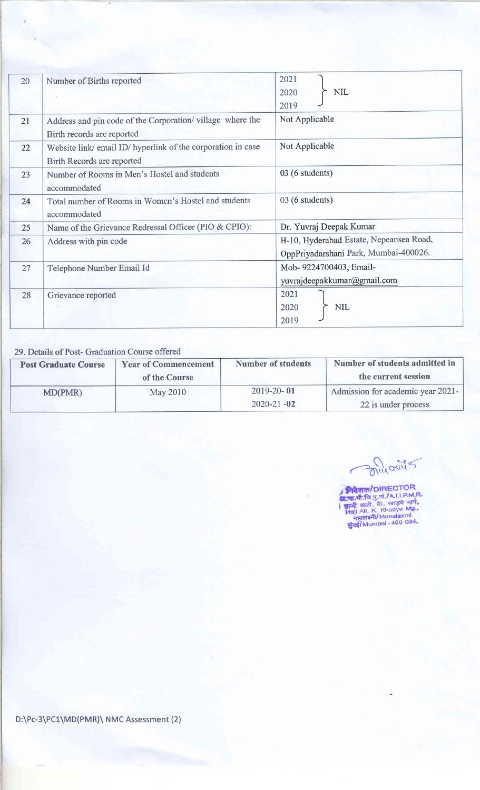| 20 | Number of Births reported                                                                  | 2021<br><b>NIL</b><br>2020<br>2019                                               |  |  |
|----|--------------------------------------------------------------------------------------------|----------------------------------------------------------------------------------|--|--|
| 21 | Address and pin code of the Corporation/village where the<br>Birth records are reported    | Not Applicable                                                                   |  |  |
| 22 | Website link/ email ID/ hyperlink of the corporation in case<br>Birth Records are reported | Not Applicable                                                                   |  |  |
| 23 | Number of Rooms in Men's Hostel and students<br>accommodated                               | 03 (6 students)                                                                  |  |  |
| 24 | Total number of Rooms in Women's Hostel and students<br>accommodated                       | 03 (6 students)                                                                  |  |  |
| 25 | Name of the Grievance Redressal Officer (PIO & CPIO):                                      | Dr. Yuvraj Deepak Kumar                                                          |  |  |
| 26 | Address with pin code                                                                      | H-10, Hyderabad Estate, Nepeansea Road,<br>OppPriyadarshani Park, Mumbai-400026. |  |  |
| 27 | Telephone Number Email Id                                                                  | Mob- 9224700403, Email-<br>yuvrajdeepakkumar@gmail.com                           |  |  |
| 28 | Grievance reported                                                                         | 2021<br>NIL<br>2020<br>2019                                                      |  |  |

29. Details of Post- Graduation Course offered

| <b>Post Graduate Course</b> | <b>Number of students</b><br><b>Year of Commencement</b><br>of the Course |                  | Number of students admitted in<br>the current session |  |  |
|-----------------------------|---------------------------------------------------------------------------|------------------|-------------------------------------------------------|--|--|
| MD(PMR)                     | May 2010                                                                  | $2019 - 20 - 01$ | Admission for academic year 2021-                     |  |  |
|                             |                                                                           | $2020 - 21 - 02$ | 22 is under process                                   |  |  |

milorities

**निवेशक/DIRECTOR**<br>ख.जा.पी.चि.यु.सं /A.H.P.M.R.<br>| ज्ञाजी अली, के. खाड़ये मार्ग,<br>| Hajj All, K. Khadye Mg.,<br>| मुंबई/Mumbai -400 034,

D:\Pc-3\PC1\MD(PMR)\ NMC Assessment (2)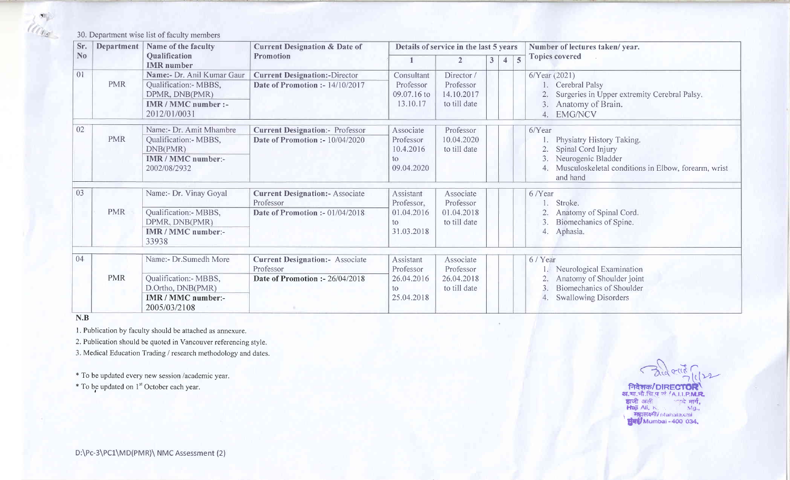30. Dcpartrncnt wisc list of faculty members

| Sr.            | Department | Name of the faculty                                                                                               | <b>Current Designation &amp; Date of</b>                                                  | Details of service in the last 5 years                    |                                                       |                |                     | Number of lectures taken/year.                                                                                                                     |  |
|----------------|------------|-------------------------------------------------------------------------------------------------------------------|-------------------------------------------------------------------------------------------|-----------------------------------------------------------|-------------------------------------------------------|----------------|---------------------|----------------------------------------------------------------------------------------------------------------------------------------------------|--|
| N <sub>o</sub> |            | Qualification<br><b>IMR</b> number                                                                                | <b>Promotion</b>                                                                          | 1                                                         | $\overline{2}$                                        | 3 <sup>1</sup> | 4<br>$\overline{5}$ | <b>Topics covered</b>                                                                                                                              |  |
| 01             | <b>PMR</b> | Name:- Dr. Anil Kumar Gaur<br>Qualification:- MBBS,<br>DPMR, DNB(PMR)<br><b>IMR/MMC</b> number :-<br>2012/01/0031 | <b>Current Designation:-Director</b><br>Date of Promotion :- 14/10/2017                   | Consultant<br>Professor<br>09.07.16 to<br>13.10.17        | Director /<br>Professor<br>14.10.2017<br>to till date |                |                     | 6/Year (2021)<br>Cerebral Palsy<br>Surgeries in Upper extremity Cerebral Palsy.<br>Anatomy of Brain.<br>3.<br><b>EMG/NCV</b><br>4.                 |  |
| 02             | <b>PMR</b> | Name:- Dr. Amit Mhambre<br>Qualification:- MBBS,<br>DNB(PMR)<br><b>IMR / MMC number:-</b><br>2002/08/2932         | <b>Current Designation:- Professor</b><br>Date of Promotion :- 10/04/2020                 | Associate<br>Professor<br>10.4.2016<br>to<br>09.04.2020   | Professor<br>10.04.2020<br>to till date               |                |                     | 6/Year<br>Physiatry History Taking.<br>Spinal Cord Injury<br>Neurogenic Bladder<br>Musculoskeletal conditions in Elbow, forearm, wrist<br>and hand |  |
| 03             | <b>PMR</b> | Name:- Dr. Vinay Goyal<br>Qualification:- MBBS,<br>DPMR, DNB(PMR)<br>IMR / MMC number:-<br>33938                  | <b>Current Designation:- Associate</b><br>Professor<br>Date of Promotion :- $01/04/2018$  | Assistant<br>Professor,<br>01.04.2016<br>to<br>31.03.2018 | Associate<br>Professor<br>01.04.2018<br>to till date  |                |                     | 6/Year<br>Stroke.<br>Anatomy of Spinal Cord.<br>3.<br>Biomechanics of Spine.<br>Aphasia.<br>4.                                                     |  |
| 04             | <b>PMR</b> | Name:- Dr.Sumedh More<br>Qualification:- MBBS,<br>D.Ortho, DNB(PMR)<br>IMR / MMC number:-<br>2005/03/2108         | <b>Current Designation:</b> - Associate<br>Professor<br>Date of Promotion :- $26/04/2018$ | Assistant<br>Professor<br>26.04.2016<br>to<br>25.04.2018  | Associate<br>Professor<br>26.04.2018<br>to till date  |                |                     | 6 / Year<br>Neurological Examination<br>Anatomy of Shoulder joint<br><b>Biomechanics of Shoulder</b><br>3.<br><b>Swallowing Disorders</b>          |  |

N.B

the state

l. Publication by faculty should be attached as annexure.

2. Publication should be quoted in Vancouver referencing style.

3. Medical Education Trading / research methodology and dates.

\* To be updated every new session /academic year.

\* To be updated on 1<sup>st</sup> October each year.

 $rac{2}{\sqrt{2}}$ 

निदेशक/DIRECTOR **a.**मा.भी.चि.पु.चं /A.I.I.P.M.R.<br>हाजी अली --- लड़्ये मार्ग,<br>Haji Ali, K. --- Mg., **Fisicial Mahalaxmi**<br>**Fizik/Mumbai - 400 034.**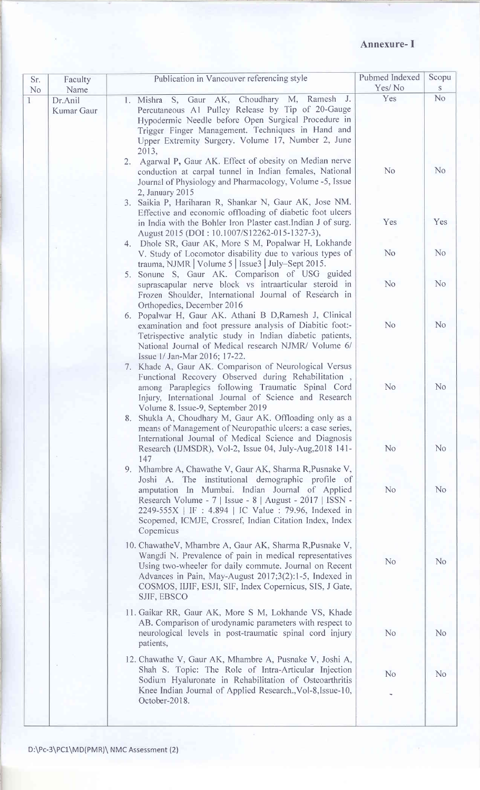## Annexure-I

| Faculty<br>Sr.<br>No<br>Name | Publication in Vancouver referencing style                                                                                                                                                                                                                                                                                                                    | Pubmed Indexed<br>Yes/No | Scopu<br>S     |  |
|------------------------------|---------------------------------------------------------------------------------------------------------------------------------------------------------------------------------------------------------------------------------------------------------------------------------------------------------------------------------------------------------------|--------------------------|----------------|--|
| Dr.Anil<br>Kumar Gaur        | 1. Mishra S, Gaur AK, Choudhary M, Ramesh J.<br>Percutaneous A1 Pulley Release by Tip of 20-Gauge<br>Hypodermic Needle before Open Surgical Procedure in<br>Trigger Finger Management. Techniques in Hand and<br>Upper Extremity Surgery. Volume 17, Number 2, June<br>2013,                                                                                  | Yes                      | N <sub>o</sub> |  |
|                              | 2. Agarwal P, Gaur AK. Effect of obesity on Median nerve<br>conduction at carpal tunnel in Indian females, National<br>Journal of Physiology and Pharmacology, Volume -5, Issue<br>2, January 2015                                                                                                                                                            | N <sub>o</sub>           | N <sub>0</sub> |  |
|                              | 3. Saikia P, Hariharan R, Shankar N, Gaur AK, Jose NM.<br>Effective and economic offloading of diabetic foot ulcers<br>in India with the Bohler Iron Plaster cast.Indian J of surg.<br>August 2015 (DOI: 10.1007/S12262-015-1327-3),                                                                                                                          | Yes                      | Yes            |  |
|                              | 4. Dhole SR, Gaur AK, More S M, Popalwar H, Lokhande<br>V. Study of Locomotor disability due to various types of<br>trauma, NJMR   Volume $5$   Issue $3$   July–Sept 2015.                                                                                                                                                                                   | N <sub>o</sub>           | N <sub>o</sub> |  |
|                              | 5. Sonune S, Gaur AK. Comparison of USG guided<br>suprascapular nerve block vs intraarticular steroid in<br>Frozen Shoulder, International Journal of Research in                                                                                                                                                                                             | N <sub>o</sub>           | N <sub>o</sub> |  |
|                              | Orthopedics, December 2016<br>6. Popalwar H, Gaur AK. Athani B D, Ramesh J, Clinical<br>examination and foot pressure analysis of Diabitic foot:-<br>Tetrispective analytic study in Indian diabetic patients,<br>National Journal of Medical research NJMR/ Volume 6/                                                                                        | N <sub>o</sub>           | N <sub>o</sub> |  |
|                              | Issue 1/ Jan-Mar 2016; 17-22.<br>7. Khade A, Gaur AK. Comparison of Neurological Versus<br>Functional Recovery Observed during Rehabilitation,<br>among Paraplegics following Traumatic Spinal Cord<br>Injury, International Journal of Science and Research<br>Volume 8. Issue-9, September 2019                                                             | N <sub>o</sub>           | N <sub>o</sub> |  |
|                              | 8. Shukla A, Choudhary M, Gaur AK. Offloading only as a<br>means of Management of Neuropathic ulcers: a case series,<br>International Journal of Medical Science and Diagnosis<br>Research (IJMSDR), Vol-2, Issue 04, July-Aug, 2018 141-<br>147                                                                                                              | N <sub>o</sub>           | N <sub>0</sub> |  |
|                              | 9. Mhambre A, Chawathe V, Gaur AK, Sharma R, Pusnake V,<br>Joshi A. The institutional demographic profile of<br>amputation In Mumbai. Indian Journal of Applied<br>Research Volume - 7   Issue - 8   August - 2017   ISSN -<br>2249-555X   IF : 4.894   IC Value : 79.96, Indexed in<br>Scopemed, ICMJE, Crossref, Indian Citation Index, Index<br>Copernicus | N <sub>o</sub>           | <b>No</b>      |  |
|                              | 10. ChawatheV, Mhambre A, Gaur AK, Sharma R, Pusnake V,<br>Wangdi N. Prevalence of pain in medical representatives<br>Using two-wheeler for daily commute. Journal on Recent<br>Advances in Pain, May-August 2017;3(2):1-5, Indexed in<br>COSMOS, IIJIF, ESJI, SIF, Index Copernicus, SIS, J Gate,<br>SJIF, EBSCO                                             | N <sub>o</sub>           | N <sub>o</sub> |  |
|                              | 11. Gaikar RR, Gaur AK, More S M, Lokhande VS, Khade<br>AB. Comparison of urodynamic parameters with respect to<br>neurological levels in post-traumatic spinal cord injury<br>patients,                                                                                                                                                                      | N <sub>o</sub>           | N <sub>o</sub> |  |
|                              | 12. Chawathe V, Gaur AK, Mhambre A, Pusnake V, Joshi A,<br>Shah S. Topic: The Role of Intra-Articular Injection<br>Sodium Hyaluronate in Rehabilitation of Osteoarthritis<br>Knee Indian Journal of Applied Research., Vol-8, Issue-10,<br>October-2018.                                                                                                      | N <sub>o</sub>           | N <sub>o</sub> |  |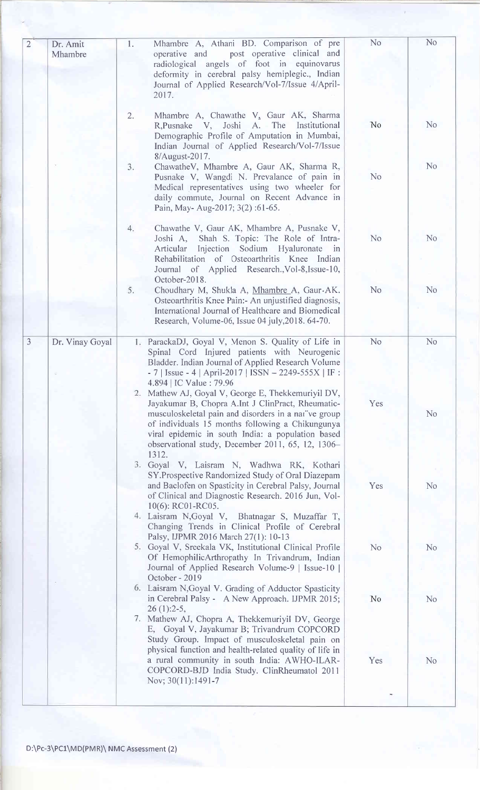| $\overline{2}$ | Dr. Amit<br>Mhambre | Mhambre A, Athani BD. Comparison of pre<br>1.<br>post operative clinical and<br>operative and<br>radiological angels of foot in equinovarus<br>deformity in cerebral palsy hemiplegic., Indian<br>Journal of Applied Research/Vol-7/Issue 4/April-<br>2017.                                                                                                                                                           | N <sub>o</sub> | No             |
|----------------|---------------------|-----------------------------------------------------------------------------------------------------------------------------------------------------------------------------------------------------------------------------------------------------------------------------------------------------------------------------------------------------------------------------------------------------------------------|----------------|----------------|
|                |                     | Mhambre A, Chawathe V, Gaur AK, Sharma<br>2.<br>R, Pusnake V, Joshi A. The Institutional<br>Demographic Profile of Amputation in Mumbai,<br>Indian Journal of Applied Research/Vol-7/Issue<br>8/August-2017.                                                                                                                                                                                                          | N <sub>o</sub> | N <sub>o</sub> |
|                |                     | ChawatheV, Mhambre A, Gaur AK, Sharma R,<br>3.<br>Pusnake V, Wangdi N. Prevalance of pain in<br>Medical representatives using two wheeler for<br>daily commute, Journal on Recent Advance in<br>Pain, May-Aug-2017; 3(2):61-65.                                                                                                                                                                                       | N <sub>o</sub> | N <sub>o</sub> |
|                |                     | Chawathe V, Gaur AK, Mhambre A, Pusnake V,<br>4.<br>Joshi A, Shah S. Topic: The Role of Intra-<br>Injection Sodium Hyaluronate in<br>Articular<br>Rehabilitation of Osteoarthritis Knee Indian<br>Journal of Applied Research., Vol-8, Issue-10,<br>October-2018.                                                                                                                                                     | N <sub>o</sub> | N <sub>o</sub> |
|                |                     | 5.<br>Choudhary M, Shukla A, Mhambre A, Gaur AK.<br>Osteoarthritis Knee Pain:- An unjustified diagnosis,<br>International Journal of Healthcare and Biomedical<br>Research, Volume-06, Issue 04 july, 2018. 64-70.                                                                                                                                                                                                    | No             | N <sub>o</sub> |
| $\overline{3}$ | Dr. Vinay Goyal     | 1. ParackaDJ, Goyal V, Menon S. Quality of Life in<br>Spinal Cord Injured patients with Neurogenic<br>Bladder. Indian Journal of Applied Research Volume                                                                                                                                                                                                                                                              | No             | No             |
|                |                     | $-7$   Issue $-4$   April-2017   ISSN $-2249-555X$   IF :<br>4.894   IC Value : 79.96<br>2. Mathew AJ, Goyal V, George E, Thekkemuriyil DV,<br>Jayakumar B, Chopra A.Int J ClinPract, Rheumatic-<br>musculoskeletal pain and disorders in a narve group<br>of individuals 15 months following a Chikungunya<br>viral epidemic in south India: a population based<br>observational study, December 2011, 65, 12, 1306- | Yes            | N <sub>o</sub> |
|                |                     | 1312.<br>3. Goyal V, Laisram N, Wadhwa RK, Kothari<br>SY.Prospective Randomized Study of Oral Diazepam<br>and Baclofen on Spasticity in Cerebral Palsy, Journal<br>of Clinical and Diagnostic Research. 2016 Jun, Vol-<br>10(6): RC01-RC05.<br>4. Laisram N, Goyal V, Bhatnagar S, Muzaffar T,                                                                                                                        | Yes            | No             |
|                |                     | Changing Trends in Clinical Profile of Cerebral<br>Palsy, IJPMR 2016 March 27(1): 10-13<br>5. Goyal V, Sreekala VK, Institutional Clinical Profile<br>Of HemophilicArthropathy In Trivandrum, Indian<br>Journal of Applied Research Volume-9   Issue-10  <br>October - 2019                                                                                                                                           | N <sub>o</sub> | N <sub>o</sub> |
|                |                     | 6. Laisram N, Goyal V. Grading of Adductor Spasticity<br>in Cerebral Palsy - A New Approach. IJPMR 2015;<br>$26(1):2-5,$<br>7. Mathew AJ, Chopra A, Thekkemuriyil DV, George                                                                                                                                                                                                                                          | <b>No</b>      | N <sub>o</sub> |
|                |                     | E, Goyal V, Jayakumar B; Trivandrum COPCORD<br>Study Group. Impact of musculoskeletal pain on<br>physical function and health-related quality of life in<br>a rural community in south India: AWHO-ILAR-<br>COPCORD-BJD India Study. ClinRheumatol 2011<br>Nov; 30(11):1491-7                                                                                                                                         | Yes            | N <sub>o</sub> |
|                |                     |                                                                                                                                                                                                                                                                                                                                                                                                                       |                |                |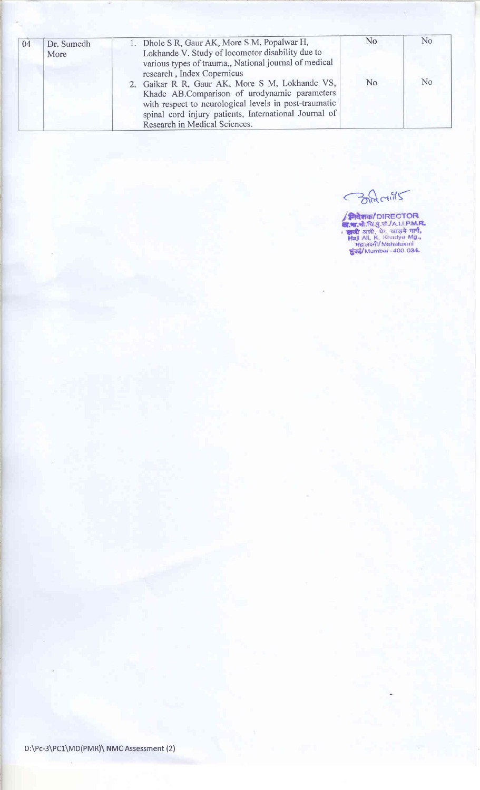| 04 | Dr. Sumedh | 1. Dhole S R, Gaur AK, More S M, Popalwar H,          | N <sub>0</sub> | N <sub>0</sub> |
|----|------------|-------------------------------------------------------|----------------|----------------|
|    | More       | Lokhande V. Study of locomotor disability due to      |                |                |
|    |            | various types of trauma,, National journal of medical |                |                |
|    |            | research, Index Copernicus                            |                |                |
|    |            | 2. Gaikar R R, Gaur AK, More S M, Lokhande VS,        | N <sub>o</sub> | N <sub>0</sub> |
|    |            | Khade AB.Comparison of urodynamic parameters          |                |                |
|    |            | with respect to neurological levels in post-traumatic |                |                |
|    |            | spinal cord injury patients, International Journal of |                |                |
|    |            | Research in Medical Sciences.                         |                |                |

BRACTINS

**मिदेशक/DIRECTOR**<br>**अ.भ.**औ.चि.पु.सं./A.I.I.P.M.R.<br>। जुली अली, के. खड़ये मार्ग,<br>Haji Ali, K. Khadye Mg.,<br>महालक्ष्मी/Mahalaxmi<br>शुंबई/Mumbai-400 034.

 $\bar{\alpha}$